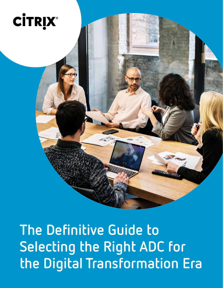

**The Definitive Guide to Selecting the Right ADC for the Digital Transformation Era**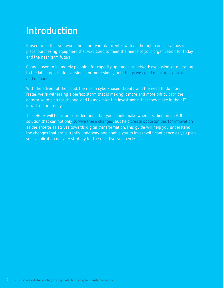# **Introduction**

It used to be that you would build out your datacenter with all the right considerations in place, purchasing equipment that was sized to meet the needs of your organization for today and the near term future.

Change used to be merely planning for capacity upgrades or network expansion, or migrating to the latest application version—or more simply put: things we could measure, control and manage.

With the advent of the cloud, the rise in cyber-based threats, and the need to do more, faster, we're witnessing a perfect storm that is making it more and more difficult for the enterprise to plan for change, and to maximize the investments that they make in their IT infrastructure today.

This eBook will focus on considerations that you should make when deciding on an ADC solution that can not only survive these changes, but help create opportunities for innovation as the enterprise strives towards digital transformation. This guide will help you understand the changes that are currently underway, and enable you to invest with confidence as you plan your application delivery strategy for the next five-year cycle.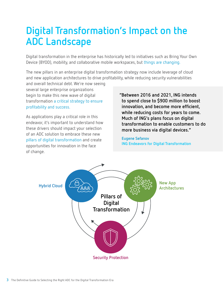## **Digital Transformation's Impact on the ADC Landscape**

Digital transformation in the enterprise has historically led to initiatives such as Bring Your Own Device (BYOD), mobility, and collaborative mobile workspaces, but things are changing.

The new pillars in an enterprise digital transformation strategy now include leverage of cloud and new application architectures to drive profitability, while reducing security vulnerabilities

and overall technical debt. We're now seeing several large enterprise organizations begin to make this new wave of digital transformation a critical strategy to ensure profitability and success.

As applications play a critical role in this endeavor, it's important to understand how these drivers should impact your selection of an ADC solution to embrace these new pillars of digital transformation and create opportunities for innovation in the face of change.

**"Between 2016 and 2021, ING intends to spend close to \$900 million to boost innovation, and become more efficient, while reducing costs for years to come. Much of ING's plans focus on digital transformation to enable customers to do more business via digital devices."**

**Eugene Sefanov ING Endeavors for Digital Transformation**

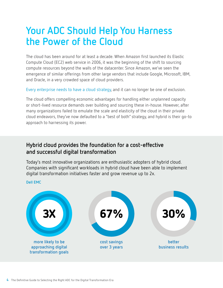#### **Your ADC Should Help You Harness the Power of the Cloud**

The cloud has been around for at least a decade. When Amazon first launched its Elastic Compute Cloud (EC2) web service in 2006, it was the beginning of the shift to sourcing compute resources beyond the walls of the datacenter. Since Amazon, we've seen the emergence of similar offerings from other large vendors that include Google, Microsoft, IBM, and Oracle, in a very crowded space of cloud providers.

Every enterprise needs to have a cloud strategy, and it can no longer be one of exclusion.

The cloud offers compelling economic advantages for handling either unplanned capacity or short-lived resource demands over building and sourcing these in-house. However, after many organizations failed to emulate the scale and elasticity of the cloud in their private cloud endeavors, they've now defaulted to a "best of both" strategy, and hybrid is their go-to approach to harnessing its power.

#### **Hybrid cloud provides the foundation for a cost-effective and successful digital transformation**

Today's most innovative organizations are enthusiastic adopters of hybrid cloud. Companies with significant workloads in hybrid cloud have been able to implement digital transformation initiatives faster and grow revenue up to 2x.

#### **Dell EMC**

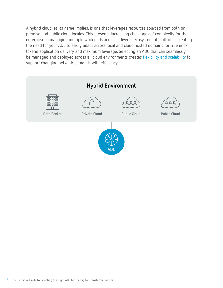A hybrid cloud, as its name implies, is one that leverages resources sourced from both onpremise and public cloud locales. This presents increasing challenges of complexity for the enterprise in managing multiple workloads across a diverse ecosystem of platforms, creating the need for your ADC to easily adapt across local and cloud hosted domains for true endto-end application delivery and maximum leverage. Selecting an ADC that can seamlessly be managed and deployed across all cloud environments creates flexibility and scalability to support changing network demands with efficiency.

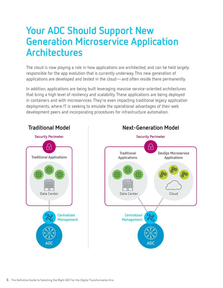#### **Your ADC Should Support New Generation Microservice Application Architectures**

The cloud is now playing a role in how applications are architected, and can be held largely responsible for the app evolution that is currently underway. This new generation of applications are developed and tested in the cloud—and often reside there permanently.

In addition, applications are being built leveraging massive service-oriented architectures that bring a high level of resiliency and scalability. These applications are being deployed in containers and with microservices. They're even impacting traditional legacy application deployments, where IT is seeking to emulate the operational advantages of their web development peers and incorporating procedures for infrastructure automation.

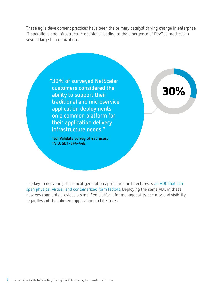These agile development practices have been the primary catalyst driving change in enterprise IT operations and infrastructure decisions, leading to the emergence of DevOps practices in several large IT organizations.



The key to delivering these next generation application architectures is an ADC that can span physical, virtual, and containerized form factors. Deploying the same ADC in these new environments provides a simplified platform for manageability, security, and visibility, regardless of the inherent application architectures.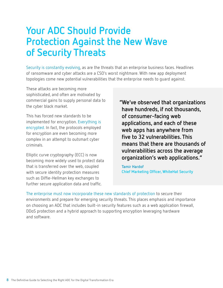#### **Your ADC Should Provide Protection Against the New Wave of Security Threats**

Security is constantly evolving, as are the threats that an enterprise business faces. Headlines of ransomware and cyber attacks are a CSO's worst nightmare. With new app deployment topologies come new potential vulnerabilities that the enterprise needs to guard against.

These attacks are becoming more sophisticated, and often are motivated by commercial gains to supply personal data to the cyber black market.

This has forced new standards to be implemented for encryption. Everything is encrypted. In fact, the protocols employed for encryption are even becoming more complex in an attempt to outsmart cyber criminals.

Elliptic curve cryptography (ECC) is now becoming more widely used to protect data that is transferred over the web, coupled with secure identity protection measures such as Diffie-Hellman key exchanges to further secure application data and traffic.

**"We've observed that organizations have hundreds, if not thousands, of consumer-facing web applications, and each of these web apps has anywhere from five to 32 vulnerabilities. This means that there are thousands of vulnerabilities across the average organization's web applications."**

**Tamir Hardof Chief Marketing Officer, WhiteHat Security**

The enterprise must now incorporate these new standards of protection to secure their environments and prepare for emerging security threats. This places emphasis and importance on choosing an ADC that includes built-in security features such as a web application firewall, DDoS protection and a hybrid approach to supporting encryption leveraging hardware and software.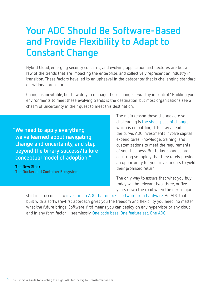#### **Your ADC Should Be Software-Based and Provide Flexibility to Adapt to Constant Change**

Hybrid Cloud, emerging security concerns, and evolving application architectures are but a few of the trends that are impacting the enterprise, and collectively represent an industry in transition. These factors have led to an upheaval in the datacenter that is challenging standard operational procedures.

Change is inevitable, but how do you manage these changes *and* stay in control? Building your environments to meet these evolving trends is the destination, but most organizations see a chasm of uncertainty in their quest to meet this destination.

**"We need to apply everything we've learned about navigating change and uncertainty, and step beyond the binary success/failure conceptual model of adoption."**

**The New Stack The Docker and Container Ecosystem** The main reason these changes are so challenging is the sheer pace of change, which is embattling IT to stay ahead of the curve. ADC investments involve capital expenditures, knowledge, training, and customizations to meet the requirements of your business. But today, changes are occurring so rapidly that they rarely provide an opportunity for your investments to yield their promised return.

The only way to assure that what you buy today will be relevant two, three, or five years down the road when the next major

shift in IT occurs, is to invest in an ADC that unlocks software from hardware. An ADC that is built with a software-first approach gives you the freedom and flexibility you need, no matter what the future brings. Software-first means you can deploy on any hypervisor or any cloud and in any form factor—seamlessly. One code base. One feature set. One ADC.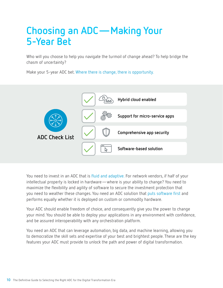## **Choosing an ADC—Making Your 5-Year Bet**

Who will you choose to help you navigate the turmoil of change ahead? To help bridge the chasm of uncertainty?

Make your 5-year ADC bet. Where there is change, there is opportunity.



You need to invest in an ADC that is fluid and adaptive. For network vendors, if half of your intellectual property is locked in hardware—where is your ability to change? You need to maximize the flexibility and agility of software to secure the investment protection that you need to weather these changes. You need an ADC solution that puts software first and performs equally whether it is deployed on custom or commodity hardware.

Your ADC should enable freedom of choice, and consequently give you the power to change your mind. You should be able to deploy your applications in any environment with confidence, and be assured interoperability with any orchestration platform.

You need an ADC that can leverage automation, big data, and machine learning, allowing you to democratize the skill sets and expertise of your best and brightest people. These are the key features your ADC must provide to unlock the path and power of digital transformation.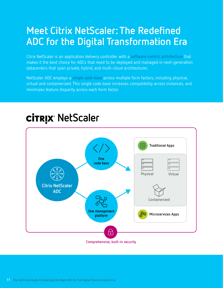#### **Meet Citrix NetScaler: The Redefined ADC for the Digital Transformation Era**

Citrix NetScaler is an application delivery controller with a software-centric architecture that makes it the best choice for ADCs that need to be deployed and managed in next-generation datacenters that span private, hybrid, and multi-cloud architectures.

NetScaler ADC employs a single code base across multiple form factors, including physical, virtual and containerized. This single code base increases compatibility across instances, and minimizes feature disparity across each form factor.



# **CITRIX NetScaler**

**Comprehensive, built-in security**